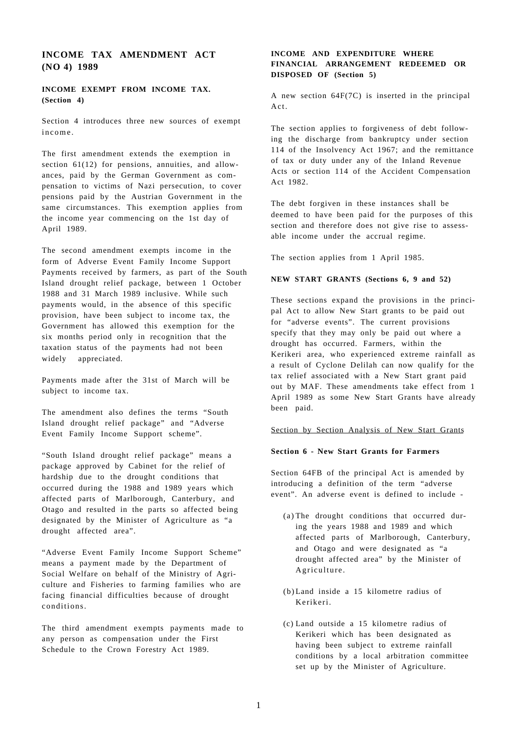# **INCOME TAX AMENDMENT ACT (NO 4) 1989**

## **INCOME EXEMPT FROM INCOME TAX. (Section 4)**

Section 4 introduces three new sources of exempt income .

The first amendment extends the exemption in section 61(12) for pensions, annuities, and allowances, paid by the German Government as compensation to victims of Nazi persecution, to cover pensions paid by the Austrian Government in the same circumstances. This exemption applies from the income year commencing on the 1st day of April 1989.

The second amendment exempts income in the form of Adverse Event Family Income Support Payments received by farmers, as part of the South Island drought relief package, between 1 October 1988 and 31 March 1989 inclusive. While such payments would, in the absence of this specific provision, have been subject to income tax, the Government has allowed this exemption for the six months period only in recognition that the taxation status of the payments had not been widely appreciated.

Payments made after the 31st of March will be subject to income tax.

The amendment also defines the terms "South Island drought relief package" and "Adverse Event Family Income Support scheme".

"South Island drought relief package" means a package approved by Cabinet for the relief of hardship due to the drought conditions that occurred during the 1988 and 1989 years which affected parts of Marlborough, Canterbury, and Otago and resulted in the parts so affected being designated by the Minister of Agriculture as "a drought affected area".

"Adverse Event Family Income Support Scheme" means a payment made by the Department of Social Welfare on behalf of the Ministry of Agriculture and Fisheries to farming families who are facing financial difficulties because of drought conditions.

The third amendment exempts payments made to any person as compensation under the First Schedule to the Crown Forestry Act 1989.

## **INCOME AND EXPENDITURE WHERE FINANCIAL ARRANGEMENT REDEEMED OR DISPOSED OF (Section 5)**

A new section 64F(7C) is inserted in the principal Act.

The section applies to forgiveness of debt following the discharge from bankruptcy under section 114 of the Insolvency Act 1967; and the remittance of tax or duty under any of the Inland Revenue Acts or section 114 of the Accident Compensation Act 1982.

The debt forgiven in these instances shall be deemed to have been paid for the purposes of this section and therefore does not give rise to assessable income under the accrual regime.

The section applies from 1 April 1985.

#### **NEW START GRANTS (Sections 6, 9 and 52)**

These sections expand the provisions in the principal Act to allow New Start grants to be paid out for "adverse events". The current provisions specify that they may only be paid out where a drought has occurred. Farmers, within the Kerikeri area, who experienced extreme rainfall as a result of Cyclone Delilah can now qualify for the tax relief associated with a New Start grant paid out by MAF. These amendments take effect from 1 April 1989 as some New Start Grants have already been paid.

#### Section by Section Analysis of New Start Grants

#### **Section 6 - New Start Grants for Farmers**

Section 64FB of the principal Act is amended by introducing a definition of the term "adverse event". An adverse event is defined to include -

- (a) The drought conditions that occurred during the years 1988 and 1989 and which affected parts of Marlborough, Canterbury, and Otago and were designated as "a drought affected area" by the Minister of Agriculture.
- (b)Land inside a 15 kilometre radius of Kerikeri.
- (c) Land outside a 15 kilometre radius of Kerikeri which has been designated as having been subject to extreme rainfall conditions by a local arbitration committee set up by the Minister of Agriculture.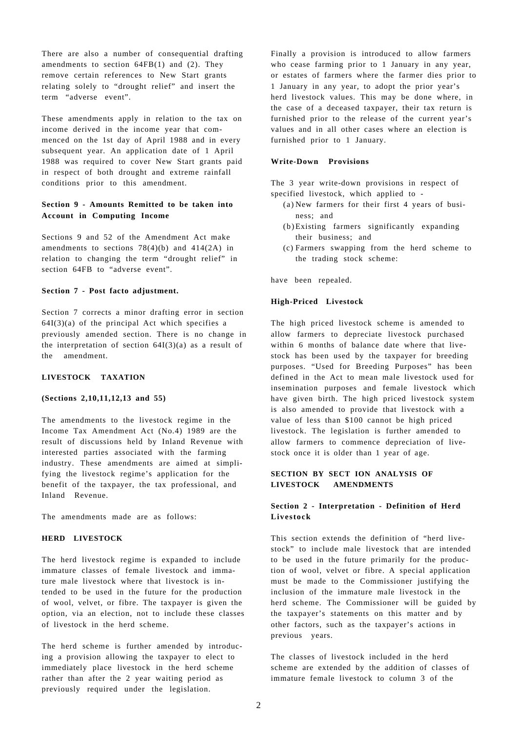There are also a number of consequential drafting amendments to section  $64FB(1)$  and (2). They remove certain references to New Start grants relating solely to "drought relief" and insert the term "adverse event".

These amendments apply in relation to the tax on income derived in the income year that commenced on the 1st day of April 1988 and in every subsequent year. An application date of 1 April 1988 was required to cover New Start grants paid in respect of both drought and extreme rainfall conditions prior to this amendment.

## **Section 9 - Amounts Remitted to be taken into Account in Computing Income**

Sections 9 and 52 of the Amendment Act make amendments to sections  $78(4)(b)$  and  $414(2A)$  in relation to changing the term "drought relief" in section 64FB to "adverse event".

#### **Section 7 - Post facto adjustment.**

Section 7 corrects a minor drafting error in section  $64I(3)(a)$  of the principal Act which specifies a previously amended section. There is no change in the interpretation of section  $64I(3)(a)$  as a result of the amendment.

## **LIVESTOCK TAXATION**

#### **(Sections 2,10,11,12,13 and 55)**

The amendments to the livestock regime in the Income Tax Amendment Act (No.4) 1989 are the result of discussions held by Inland Revenue with interested parties associated with the farming industry. These amendments are aimed at simplifying the livestock regime's application for the benefit of the taxpayer, the tax professional, and Inland Revenue.

The amendments made are as follows:

## **HERD LIVESTOCK**

The herd livestock regime is expanded to include immature classes of female livestock and immature male livestock where that livestock is intended to be used in the future for the production of wool, velvet, or fibre. The taxpayer is given the option, via an election, not to include these classes of livestock in the herd scheme.

The herd scheme is further amended by introducing a provision allowing the taxpayer to elect to immediately place livestock in the herd scheme rather than after the 2 year waiting period as previously required under the legislation.

Finally a provision is introduced to allow farmers who cease farming prior to 1 January in any year, or estates of farmers where the farmer dies prior to 1 January in any year, to adopt the prior year's herd livestock values. This may be done where, in the case of a deceased taxpayer, their tax return is furnished prior to the release of the current year's values and in all other cases where an election is furnished prior to 1 January.

#### **Write-Down Provisions**

The 3 year write-down provisions in respect of specified livestock, which applied to -

- (a) New farmers for their first 4 years of business; and
- (b)Existing farmers significantly expanding their business; and
- (c) Farmers swapping from the herd scheme to the trading stock scheme:

have been repealed.

#### **High-Priced Livestock**

The high priced livestock scheme is amended to allow farmers to depreciate livestock purchased within 6 months of balance date where that livestock has been used by the taxpayer for breeding purposes. "Used for Breeding Purposes" has been defined in the Act to mean male livestock used for insemination purposes and female livestock which have given birth. The high priced livestock system is also amended to provide that livestock with a value of less than \$100 cannot be high priced livestock. The legislation is further amended to allow farmers to commence depreciation of livestock once it is older than 1 year of age.

## **SECTION BY SECT ION ANALYSIS OF LIVESTOCK AMENDMENTS**

## **Section 2 - Interpretation - Definition of Herd Livestock**

This section extends the definition of "herd livestock" to include male livestock that are intended to be used in the future primarily for the production of wool, velvet or fibre. A special application must be made to the Commissioner justifying the inclusion of the immature male livestock in the herd scheme. The Commissioner will be guided by the taxpayer's statements on this matter and by other factors, such as the taxpayer's actions in previous years.

The classes of livestock included in the herd scheme are extended by the addition of classes of immature female livestock to column 3 of the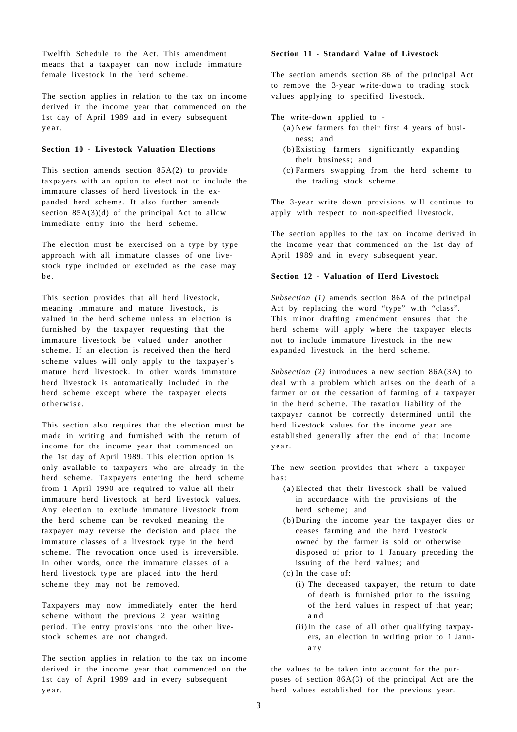Twelfth Schedule to the Act. This amendment means that a taxpayer can now include immature female livestock in the herd scheme.

The section applies in relation to the tax on income derived in the income year that commenced on the 1st day of April 1989 and in every subsequent year.

#### **Section 10 - Livestock Valuation Elections**

This section amends section 85A(2) to provide taxpayers with an option to elect not to include the immature classes of herd livestock in the expanded herd scheme. It also further amends section  $85A(3)(d)$  of the principal Act to allow immediate entry into the herd scheme.

The election must be exercised on a type by type approach with all immature classes of one livestock type included or excluded as the case may b e .

This section provides that all herd livestock, meaning immature and mature livestock, is valued in the herd scheme unless an election is furnished by the taxpayer requesting that the immature livestock be valued under another scheme. If an election is received then the herd scheme values will only apply to the taxpayer's mature herd livestock. In other words immature herd livestock is automatically included in the herd scheme except where the taxpayer elects otherwise .

This section also requires that the election must be made in writing and furnished with the return of income for the income year that commenced on the 1st day of April 1989. This election option is only available to taxpayers who are already in the herd scheme. Taxpayers entering the herd scheme from 1 April 1990 are required to value all their immature herd livestock at herd livestock values. Any election to exclude immature livestock from the herd scheme can be revoked meaning the taxpayer may reverse the decision and place the immature classes of a livestock type in the herd scheme. The revocation once used is irreversible. In other words, once the immature classes of a herd livestock type are placed into the herd scheme they may not be removed.

Taxpayers may now immediately enter the herd scheme without the previous 2 year waiting period. The entry provisions into the other livestock schemes are not changed.

The section applies in relation to the tax on income derived in the income year that commenced on the 1st day of April 1989 and in every subsequent year.

#### **Section 11 - Standard Value of Livestock**

The section amends section 86 of the principal Act to remove the 3-year write-down to trading stock values applying to specified livestock.

The write-down applied to -

- (a) New farmers for their first 4 years of business; and
- (b)Existing farmers significantly expanding their business; and
- (c) Farmers swapping from the herd scheme to the trading stock scheme.

The 3-year write down provisions will continue to apply with respect to non-specified livestock.

The section applies to the tax on income derived in the income year that commenced on the 1st day of April 1989 and in every subsequent year.

#### **Section 12 - Valuation of Herd Livestock**

*Subsection (1)* amends section 86A of the principal Act by replacing the word "type" with "class". This minor drafting amendment ensures that the herd scheme will apply where the taxpayer elects not to include immature livestock in the new expanded livestock in the herd scheme.

*Subsection (2)* introduces a new section 86A(3A) to deal with a problem which arises on the death of a farmer or on the cessation of farming of a taxpayer in the herd scheme. The taxation liability of the taxpayer cannot be correctly determined until the herd livestock values for the income year are established generally after the end of that income year.

The new section provides that where a taxpayer has:

- (a) Elected that their livestock shall be valued in accordance with the provisions of the herd scheme; and
- (b) During the income year the taxpayer dies or ceases farming and the herd livestock owned by the farmer is sold or otherwise disposed of prior to 1 January preceding the issuing of the herd values; and
- (c) In the case of:
	- (i) The deceased taxpayer, the return to date of death is furnished prior to the issuing of the herd values in respect of that year; a n d
	- (ii)In the case of all other qualifying taxpayers, an election in writing prior to 1 Janua r y

the values to be taken into account for the purposes of section 86A(3) of the principal Act are the herd values established for the previous year.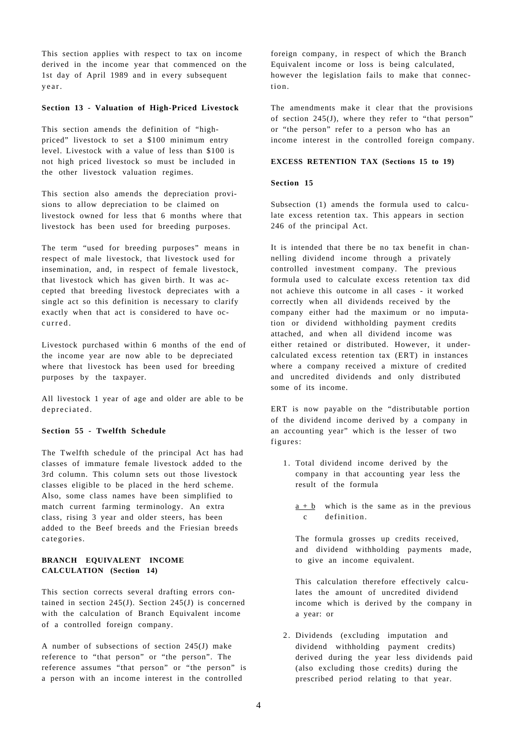This section applies with respect to tax on income derived in the income year that commenced on the 1st day of April 1989 and in every subsequent year.

#### **Section 13 - Valuation of High-Priced Livestock**

This section amends the definition of "highpriced" livestock to set a \$100 minimum entry level. Livestock with a value of less than \$100 is not high priced livestock so must be included in the other livestock valuation regimes.

This section also amends the depreciation provisions to allow depreciation to be claimed on livestock owned for less that 6 months where that livestock has been used for breeding purposes.

The term "used for breeding purposes" means in respect of male livestock, that livestock used for insemination, and, in respect of female livestock, that livestock which has given birth. It was accepted that breeding livestock depreciates with a single act so this definition is necessary to clarify exactly when that act is considered to have occurred .

Livestock purchased within 6 months of the end of the income year are now able to be depreciated where that livestock has been used for breeding purposes by the taxpayer.

All livestock 1 year of age and older are able to be depreciated.

#### **Section 55 - Twelfth Schedule**

The Twelfth schedule of the principal Act has had classes of immature female livestock added to the 3rd column. This column sets out those livestock classes eligible to be placed in the herd scheme. Also, some class names have been simplified to match current farming terminology. An extra class, rising 3 year and older steers, has been added to the Beef breeds and the Friesian breeds categories.

## **BRANCH EQUIVALENT INCOME CALCULATION (Section 14)**

This section corrects several drafting errors contained in section  $245(J)$ . Section  $245(J)$  is concerned with the calculation of Branch Equivalent income of a controlled foreign company.

A number of subsections of section 245(J) make reference to "that person" or "the person". The reference assumes "that person" or "the person" is a person with an income interest in the controlled

foreign company, in respect of which the Branch Equivalent income or loss is being calculated, however the legislation fails to make that connection.

The amendments make it clear that the provisions of section 245(J), where they refer to "that person" or "the person" refer to a person who has an income interest in the controlled foreign company.

#### **EXCESS RETENTION TAX (Sections 15 to 19)**

#### **Section 15**

Subsection (1) amends the formula used to calculate excess retention tax. This appears in section 246 of the principal Act.

It is intended that there be no tax benefit in channelling dividend income through a privately controlled investment company. The previous formula used to calculate excess retention tax did not achieve this outcome in all cases - it worked correctly when all dividends received by the company either had the maximum or no imputation or dividend withholding payment credits attached, and when all dividend income was either retained or distributed. However, it undercalculated excess retention tax (ERT) in instances where a company received a mixture of credited and uncredited dividends and only distributed some of its income.

ERT is now payable on the "distributable portion of the dividend income derived by a company in an accounting year" which is the lesser of two figures:

- 1. Total dividend income derived by the company in that accounting year less the result of the formula
	- $a + b$  which is the same as in the previous c definition.

The formula grosses up credits received, and dividend withholding payments made, to give an income equivalent.

This calculation therefore effectively calculates the amount of uncredited dividend income which is derived by the company in a year: or

2. Dividends (excluding imputation and dividend withholding payment credits) derived during the year less dividends paid (also excluding those credits) during the prescribed period relating to that year.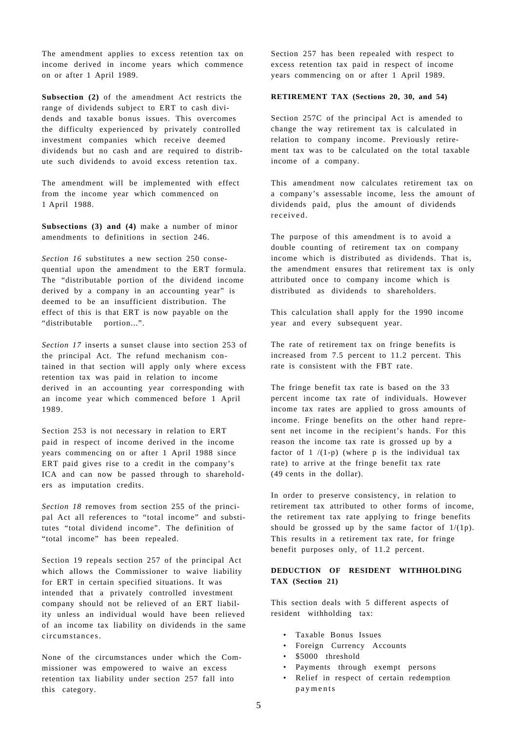The amendment applies to excess retention tax on income derived in income years which commence on or after 1 April 1989.

**Subsection (2)** of the amendment Act restricts the range of dividends subject to ERT to cash dividends and taxable bonus issues. This overcomes the difficulty experienced by privately controlled investment companies which receive deemed dividends but no cash and are required to distribute such dividends to avoid excess retention tax.

The amendment will be implemented with effect from the income year which commenced on 1 April 1988.

**Subsections (3) and (4)** make a number of minor amendments to definitions in section 246.

*Section 16* substitutes a new section 250 consequential upon the amendment to the ERT formula. The "distributable portion of the dividend income derived by a company in an accounting year" is deemed to be an insufficient distribution. The effect of this is that ERT is now payable on the "distributable portion...".

*Section 17* inserts a sunset clause into section 253 of the principal Act. The refund mechanism contained in that section will apply only where excess retention tax was paid in relation to income derived in an accounting year corresponding with an income year which commenced before 1 April 1989.

Section 253 is not necessary in relation to ERT paid in respect of income derived in the income years commencing on or after 1 April 1988 since ERT paid gives rise to a credit in the company's ICA and can now be passed through to shareholders as imputation credits.

*Section 18* removes from section 255 of the principal Act all references to "total income" and substitutes "total dividend income". The definition of "total income" has been repealed.

Section 19 repeals section 257 of the principal Act which allows the Commissioner to waive liability for ERT in certain specified situations. It was intended that a privately controlled investment company should not be relieved of an ERT liability unless an individual would have been relieved of an income tax liability on dividends in the same circumstances.

None of the circumstances under which the Commissioner was empowered to waive an excess retention tax liability under section 257 fall into this category.

Section 257 has been repealed with respect to excess retention tax paid in respect of income years commencing on or after 1 April 1989.

#### **RETIREMENT TAX (Sections 20, 30, and 54)**

Section 257C of the principal Act is amended to change the way retirement tax is calculated in relation to company income. Previously retirement tax was to be calculated on the total taxable income of a company.

This amendment now calculates retirement tax on a company's assessable income, less the amount of dividends paid, plus the amount of dividends received.

The purpose of this amendment is to avoid a double counting of retirement tax on company income which is distributed as dividends. That is, the amendment ensures that retirement tax is only attributed once to company income which is distributed as dividends to shareholders.

This calculation shall apply for the 1990 income year and every subsequent year.

The rate of retirement tax on fringe benefits is increased from 7.5 percent to 11.2 percent. This rate is consistent with the FBT rate.

The fringe benefit tax rate is based on the 33 percent income tax rate of individuals. However income tax rates are applied to gross amounts of income. Fringe benefits on the other hand represent net income in the recipient's hands. For this reason the income tax rate is grossed up by a factor of  $1/(1-p)$  (where p is the individual tax rate) to arrive at the fringe benefit tax rate (49 cents in the dollar).

In order to preserve consistency, in relation to retirement tax attributed to other forms of income, the retirement tax rate applying to fringe benefits should be grossed up by the same factor of  $1/(1p)$ . This results in a retirement tax rate, for fringe benefit purposes only, of 11.2 percent.

#### **DEDUCTION OF RESIDENT WITHHOLDING TAX (Section 21)**

This section deals with 5 different aspects of resident withholding tax:

- Taxable Bonus Issues
- Foreign Currency Accounts
- \$5000 threshold
- Payments through exempt persons
- Relief in respect of certain redemption payments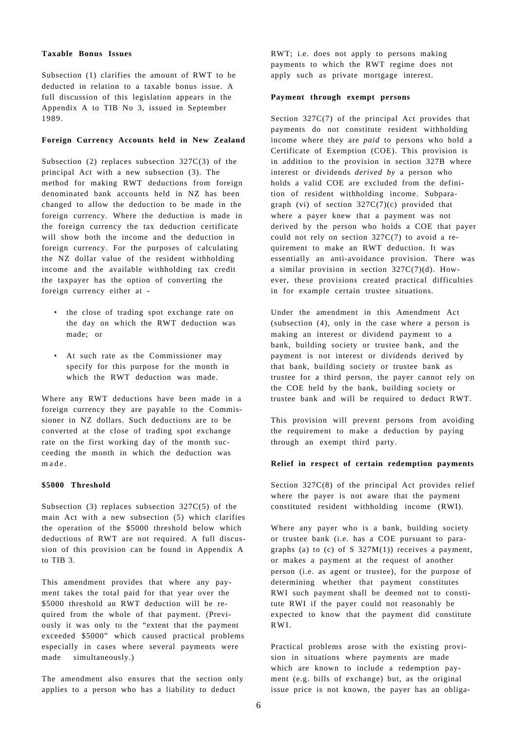#### **Taxable Bonus Issues**

Subsection (1) clarifies the amount of RWT to be deducted in relation to a taxable bonus issue. A full discussion of this legislation appears in the Appendix A to TIB No 3, issued in September 1989.

#### **Foreign Currency Accounts held in New Zealand**

Subsection (2) replaces subsection 327C(3) of the principal Act with a new subsection (3). The method for making RWT deductions from foreign denominated bank accounts held in NZ has been changed to allow the deduction to be made in the foreign currency. Where the deduction is made in the foreign currency the tax deduction certificate will show both the income and the deduction in foreign currency. For the purposes of calculating the NZ dollar value of the resident withholding income and the available withholding tax credit the taxpayer has the option of converting the foreign currency either at -

- the close of trading spot exchange rate on the day on which the RWT deduction was made; or
- At such rate as the Commissioner may specify for this purpose for the month in which the RWT deduction was made.

Where any RWT deductions have been made in a foreign currency they are payable to the Commissioner in NZ dollars. Such deductions are to be converted at the close of trading spot exchange rate on the first working day of the month succeeding the month in which the deduction was made .

#### **\$5000 Threshold**

Subsection (3) replaces subsection  $327C(5)$  of the main Act with a new subsection (5) which clarifies the operation of the \$5000 threshold below which deductions of RWT are not required. A full discussion of this provision can be found in Appendix A to TIB 3.

This amendment provides that where any payment takes the total paid for that year over the \$5000 threshold an RWT deduction will be required from the whole of that payment. (Previously it was only to the "extent that the payment exceeded \$5000" which caused practical problems especially in cases where several payments were made simultaneously.)

The amendment also ensures that the section only applies to a person who has a liability to deduct

RWT; i.e. does not apply to persons making payments to which the RWT regime does not apply such as private mortgage interest.

#### **Payment through exempt persons**

Section 327C(7) of the principal Act provides that payments do not constitute resident withholding income where they are *paid* to persons who hold a Certificate of Exemption (COE). This provision is in addition to the provision in section 327B where interest or dividends *derived by* a person who holds a valid COE are excluded from the definition of resident withholding income. Subparagraph (vi) of section  $327C(7)(c)$  provided that where a payer knew that a payment was not derived by the person who holds a COE that payer could not rely on section 327C(7) to avoid a requirement to make an RWT deduction. It was essentially an anti-avoidance provision. There was a similar provision in section  $327C(7)(d)$ . However, these provisions created practical difficulties in for example certain trustee situations.

Under the amendment in this Amendment Act (subsection (4), only in the case where a person is making an interest or dividend payment to a bank, building society or trustee bank, and the payment is not interest or dividends derived by that bank, building society or trustee bank as trustee for a third person, the payer cannot rely on the COE held by the bank, building society or trustee bank and will be required to deduct RWT.

This provision will prevent persons from avoiding the requirement to make a deduction by paying through an exempt third party.

#### **Relief in respect of certain redemption payments**

Section 327C(8) of the principal Act provides relief where the payer is not aware that the payment constituted resident withholding income (RWI).

Where any payer who is a bank, building society or trustee bank (i.e. has a COE pursuant to paragraphs (a) to (c) of S  $327M(1)$  receives a payment, or makes a payment at the request of another person (i.e. as agent or trustee), for the purpose of determining whether that payment constitutes RWI such payment shall be deemed not to constitute RWI if the payer could not reasonably be expected to know that the payment did constitute RWI.

Practical problems arose with the existing provision in situations where payments are made which are known to include a redemption payment (e.g. bills of exchange) but, as the original issue price is not known, the payer has an obliga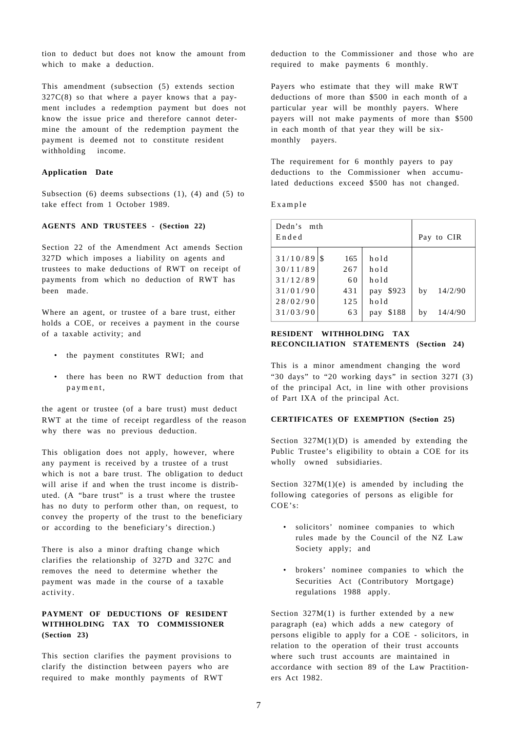tion to deduct but does not know the amount from which to make a deduction.

This amendment (subsection (5) extends section 327C(8) so that where a payer knows that a payment includes a redemption payment but does not know the issue price and therefore cannot determine the amount of the redemption payment the payment is deemed not to constitute resident withholding income.

#### **Application Date**

Subsection  $(6)$  deems subsections  $(1)$ ,  $(4)$  and  $(5)$  to take effect from 1 October 1989.

#### **AGENTS AND TRUSTEES - (Section 22)**

Section 22 of the Amendment Act amends Section 327D which imposes a liability on agents and trustees to make deductions of RWT on receipt of payments from which no deduction of RWT has been made.

Where an agent, or trustee of a bare trust, either holds a COE, or receives a payment in the course of a taxable activity; and

- the payment constitutes RWI; and
- there has been no RWT deduction from that payment ,

the agent or trustee (of a bare trust) must deduct RWT at the time of receipt regardless of the reason why there was no previous deduction.

This obligation does not apply, however, where any payment is received by a trustee of a trust which is not a bare trust. The obligation to deduct will arise if and when the trust income is distributed. (A "bare trust" is a trust where the trustee has no duty to perform other than, on request, to convey the property of the trust to the beneficiary or according to the beneficiary's direction.)

There is also a minor drafting change which clarifies the relationship of 327D and 327C and removes the need to determine whether the payment was made in the course of a taxable activity.

## **PAYMENT OF DEDUCTIONS OF RESIDENT WITHHOLDING TAX TO COMMISSIONER (Section 23)**

This section clarifies the payment provisions to clarify the distinction between payers who are required to make monthly payments of RWT

deduction to the Commissioner and those who are required to make payments 6 monthly.

Payers who estimate that they will make RWT deductions of more than \$500 in each month of a particular year will be monthly payers. Where payers will not make payments of more than \$500 in each month of that year they will be sixmonthly payers.

The requirement for 6 monthly payers to pay deductions to the Commissioner when accumulated deductions exceed \$500 has not changed.

Example

| Dedn's<br>mth<br>Ended |                  |                      | Pay to CIR |         |
|------------------------|------------------|----------------------|------------|---------|
| 31/10/89<br>30/11/89   | -S<br>165<br>267 | hold<br>hold         |            |         |
| 31/12/89<br>31/01/90   | 60<br>431        | hold<br>\$923<br>pay | by         | 14/2/90 |
| 28/02/90<br>31/03/90   | 125<br>63        | hold<br>\$188<br>pay | bv         | 14/4/90 |

## **RESIDENT WITHHOLDING TAX RECONCILIATION STATEMENTS (Section 24)**

This is a minor amendment changing the word "30 days" to "20 working days" in section 327I (3) of the principal Act, in line with other provisions of Part IXA of the principal Act.

## **CERTIFICATES OF EXEMPTION (Section 25)**

Section  $327M(1)(D)$  is amended by extending the Public Trustee's eligibility to obtain a COE for its wholly owned subsidiaries.

Section  $327M(1)(e)$  is amended by including the following categories of persons as eligible for COE's:

- solicitors' nominee companies to which rules made by the Council of the NZ Law Society apply; and
- brokers' nominee companies to which the Securities Act (Contributory Mortgage) regulations 1988 apply.

Section  $327M(1)$  is further extended by a new paragraph (ea) which adds a new category of persons eligible to apply for a COE - solicitors, in relation to the operation of their trust accounts where such trust accounts are maintained in accordance with section 89 of the Law Practitioners Act 1982.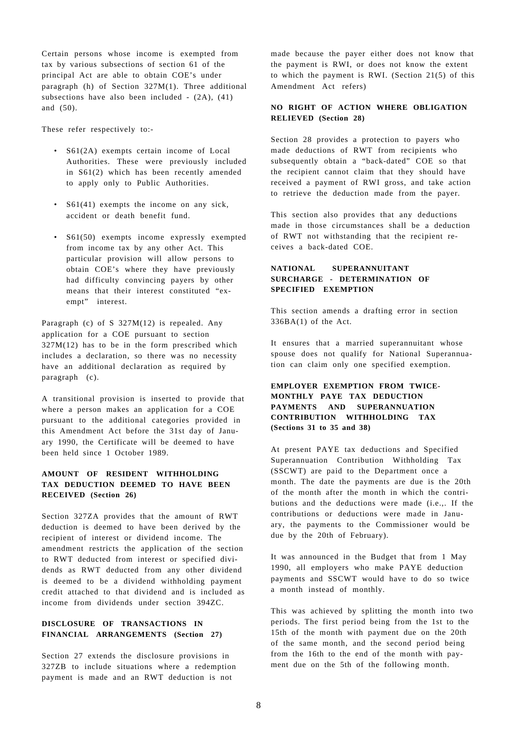Certain persons whose income is exempted from tax by various subsections of section 61 of the principal Act are able to obtain COE's under paragraph (h) of Section 327M(1). Three additional subsections have also been included - (2A), (41) and (50).

These refer respectively to:-

- S61(2A) exempts certain income of Local Authorities. These were previously included in S61(2) which has been recently amended to apply only to Public Authorities.
- S61(41) exempts the income on any sick, accident or death benefit fund.
- S61(50) exempts income expressly exempted from income tax by any other Act. This particular provision will allow persons to obtain COE's where they have previously had difficulty convincing payers by other means that their interest constituted "exempt" interest.

Paragraph (c) of S 327M(12) is repealed. Any application for a COE pursuant to section 327M(12) has to be in the form prescribed which includes a declaration, so there was no necessity have an additional declaration as required by paragraph (c).

A transitional provision is inserted to provide that where a person makes an application for a COE pursuant to the additional categories provided in this Amendment Act before the 31st day of January 1990, the Certificate will be deemed to have been held since 1 October 1989.

## **AMOUNT OF RESIDENT WITHHOLDING TAX DEDUCTION DEEMED TO HAVE BEEN RECEIVED (Section 26)**

Section 327ZA provides that the amount of RWT deduction is deemed to have been derived by the recipient of interest or dividend income. The amendment restricts the application of the section to RWT deducted from interest or specified dividends as RWT deducted from any other dividend is deemed to be a dividend withholding payment credit attached to that dividend and is included as income from dividends under section 394ZC.

## **DISCLOSURE OF TRANSACTIONS IN FINANCIAL ARRANGEMENTS (Section 27)**

Section 27 extends the disclosure provisions in 327ZB to include situations where a redemption payment is made and an RWT deduction is not

made because the payer either does not know that the payment is RWI, or does not know the extent to which the payment is RWI. (Section 21(5) of this Amendment Act refers)

#### **NO RIGHT OF ACTION WHERE OBLIGATION RELIEVED (Section 28)**

Section 28 provides a protection to payers who made deductions of RWT from recipients who subsequently obtain a "back-dated" COE so that the recipient cannot claim that they should have received a payment of RWI gross, and take action to retrieve the deduction made from the payer.

This section also provides that any deductions made in those circumstances shall be a deduction of RWT not withstanding that the recipient receives a back-dated COE.

## **NATIONAL SUPERANNUITANT SURCHARGE - DETERMINATION OF SPECIFIED EXEMPTION**

This section amends a drafting error in section 336BA(1) of the Act.

It ensures that a married superannuitant whose spouse does not qualify for National Superannuation can claim only one specified exemption.

## **EMPLOYER EXEMPTION FROM TWICE-MONTHLY PAYE TAX DEDUCTION PAYMENTS AND SUPERANNUATION CONTRIBUTION WITHHOLDING TAX (Sections 31 to 35 and 38)**

At present PAYE tax deductions and Specified Superannuation Contribution Withholding Tax (SSCWT) are paid to the Department once a month. The date the payments are due is the 20th of the month after the month in which the contributions and the deductions were made (i.e.,. If the contributions or deductions were made in January, the payments to the Commissioner would be due by the 20th of February).

It was announced in the Budget that from 1 May 1990, all employers who make PAYE deduction payments and SSCWT would have to do so twice a month instead of monthly.

This was achieved by splitting the month into two periods. The first period being from the 1st to the 15th of the month with payment due on the 20th of the same month, and the second period being from the 16th to the end of the month with payment due on the 5th of the following month.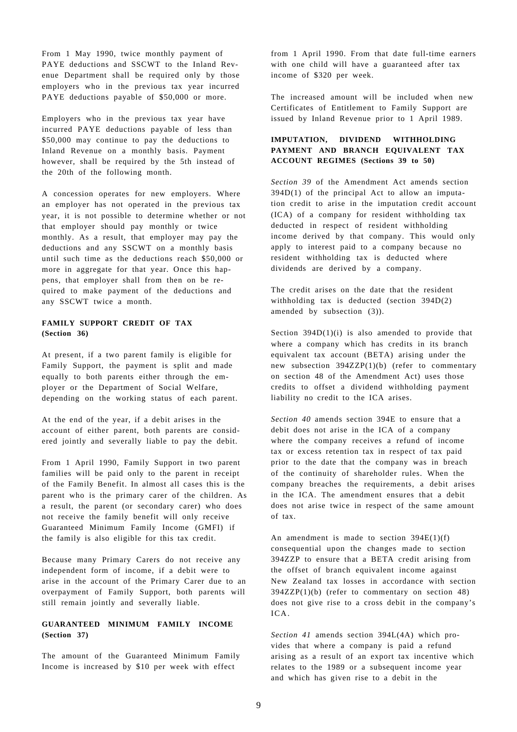From 1 May 1990, twice monthly payment of PAYE deductions and SSCWT to the Inland Revenue Department shall be required only by those employers who in the previous tax year incurred PAYE deductions payable of \$50,000 or more.

Employers who in the previous tax year have incurred PAYE deductions payable of less than \$50,000 may continue to pay the deductions to Inland Revenue on a monthly basis. Payment however, shall be required by the 5th instead of the 20th of the following month.

A concession operates for new employers. Where an employer has not operated in the previous tax year, it is not possible to determine whether or not that employer should pay monthly or twice monthly. As a result, that employer may pay the deductions and any SSCWT on a monthly basis until such time as the deductions reach \$50,000 or more in aggregate for that year. Once this happens, that employer shall from then on be required to make payment of the deductions and any SSCWT twice a month.

## **FAMILY SUPPORT CREDIT OF TAX (Section 36)**

At present, if a two parent family is eligible for Family Support, the payment is split and made equally to both parents either through the employer or the Department of Social Welfare, depending on the working status of each parent.

At the end of the year, if a debit arises in the account of either parent, both parents are considered jointly and severally liable to pay the debit.

From 1 April 1990, Family Support in two parent families will be paid only to the parent in receipt of the Family Benefit. In almost all cases this is the parent who is the primary carer of the children. As a result, the parent (or secondary carer) who does not receive the family benefit will only receive Guaranteed Minimum Family Income (GMFI) if the family is also eligible for this tax credit.

Because many Primary Carers do not receive any independent form of income, if a debit were to arise in the account of the Primary Carer due to an overpayment of Family Support, both parents will still remain jointly and severally liable.

## **GUARANTEED MINIMUM FAMILY INCOME (Section 37)**

The amount of the Guaranteed Minimum Family Income is increased by \$10 per week with effect

from 1 April 1990. From that date full-time earners with one child will have a guaranteed after tax income of \$320 per week.

The increased amount will be included when new Certificates of Entitlement to Family Support are issued by Inland Revenue prior to 1 April 1989.

## **IMPUTATION, DIVIDEND WITHHOLDING PAYMENT AND BRANCH EQUIVALENT TAX ACCOUNT REGIMES (Sections 39 to 50)**

*Section 39* of the Amendment Act amends section 394D(1) of the principal Act to allow an imputation credit to arise in the imputation credit account (ICA) of a company for resident withholding tax deducted in respect of resident withholding income derived by that company. This would only apply to interest paid to a company because no resident withholding tax is deducted where dividends are derived by a company.

The credit arises on the date that the resident withholding tax is deducted (section 394D(2) amended by subsection (3)).

Section  $394D(1)(i)$  is also amended to provide that where a company which has credits in its branch equivalent tax account (BETA) arising under the new subsection 394ZZP(1)(b) (refer to commentary on section 48 of the Amendment Act) uses those credits to offset a dividend withholding payment liability no credit to the ICA arises.

*Section 40* amends section 394E to ensure that a debit does not arise in the ICA of a company where the company receives a refund of income tax or excess retention tax in respect of tax paid prior to the date that the company was in breach of the continuity of shareholder rules. When the company breaches the requirements, a debit arises in the ICA. The amendment ensures that a debit does not arise twice in respect of the same amount of tax.

An amendment is made to section  $394E(1)(f)$ consequential upon the changes made to section 394ZZP to ensure that a BETA credit arising from the offset of branch equivalent income against New Zealand tax losses in accordance with section 394ZZP(1)(b) (refer to commentary on section 48) does not give rise to a cross debit in the company's  $ICA$ 

*Section 41* amends section 394L(4A) which provides that where a company is paid a refund arising as a result of an export tax incentive which relates to the 1989 or a subsequent income year and which has given rise to a debit in the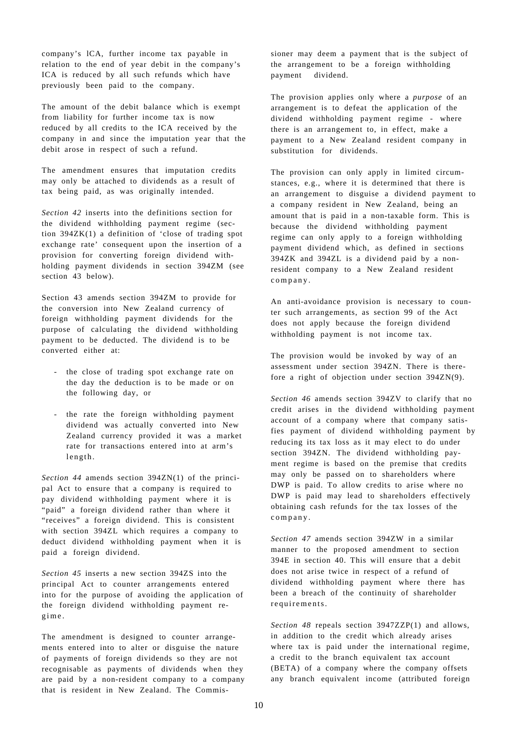company's lCA, further income tax payable in relation to the end of year debit in the company's ICA is reduced by all such refunds which have previously been paid to the company.

The amount of the debit balance which is exempt from liability for further income tax is now reduced by all credits to the ICA received by the company in and since the imputation year that the debit arose in respect of such a refund.

The amendment ensures that imputation credits may only be attached to dividends as a result of tax being paid, as was originally intended.

*Section 42* inserts into the definitions section for the dividend withholding payment regime (section 394ZK(1) a definition of 'close of trading spot exchange rate' consequent upon the insertion of a provision for converting foreign dividend withholding payment dividends in section 394ZM (see section 43 below).

Section 43 amends section 394ZM to provide for the conversion into New Zealand currency of foreign withholding payment dividends for the purpose of calculating the dividend withholding payment to be deducted. The dividend is to be converted either at:

- the close of trading spot exchange rate on the day the deduction is to be made or on the following day, or
- the rate the foreign withholding payment dividend was actually converted into New Zealand currency provided it was a market rate for transactions entered into at arm's length.

*Section 44* amends section 394ZN(1) of the principal Act to ensure that a company is required to pay dividend withholding payment where it is "paid" a foreign dividend rather than where it "receives" a foreign dividend. This is consistent with section 394ZL which requires a company to deduct dividend withholding payment when it is paid a foreign dividend.

*Section 45* inserts a new section 394ZS into the principal Act to counter arrangements entered into for the purpose of avoiding the application of the foreign dividend withholding payment regime .

The amendment is designed to counter arrangements entered into to alter or disguise the nature of payments of foreign dividends so they are not recognisable as payments of dividends when they are paid by a non-resident company to a company that is resident in New Zealand. The Commissioner may deem a payment that is the subject of the arrangement to be a foreign withholding payment dividend.

The provision applies only where a *purpose* of an arrangement is to defeat the application of the dividend withholding payment regime - where there is an arrangement to, in effect, make a payment to a New Zealand resident company in substitution for dividends.

The provision can only apply in limited circumstances, e.g., where it is determined that there is an arrangement to disguise a dividend payment to a company resident in New Zealand, being an amount that is paid in a non-taxable form. This is because the dividend withholding payment regime can only apply to a foreign withholding payment dividend which, as defined in sections 394ZK and 394ZL is a dividend paid by a nonresident company to a New Zealand resident company .

An anti-avoidance provision is necessary to counter such arrangements, as section 99 of the Act does not apply because the foreign dividend withholding payment is not income tax.

The provision would be invoked by way of an assessment under section 394ZN. There is therefore a right of objection under section 394ZN(9).

*Section 46* amends section 394ZV to clarify that no credit arises in the dividend withholding payment account of a company where that company satisfies payment of dividend withholding payment by reducing its tax loss as it may elect to do under section 394ZN. The dividend withholding payment regime is based on the premise that credits may only be passed on to shareholders where DWP is paid. To allow credits to arise where no DWP is paid may lead to shareholders effectively obtaining cash refunds for the tax losses of the company .

*Section 47* amends section 394ZW in a similar manner to the proposed amendment to section 394E in section 40. This will ensure that a debit does not arise twice in respect of a refund of dividend withholding payment where there has been a breach of the continuity of shareholder requirements.

*Section 48* repeals section 3947ZZP(1) and allows, in addition to the credit which already arises where tax is paid under the international regime, a credit to the branch equivalent tax account (BETA) of a company where the company offsets any branch equivalent income (attributed foreign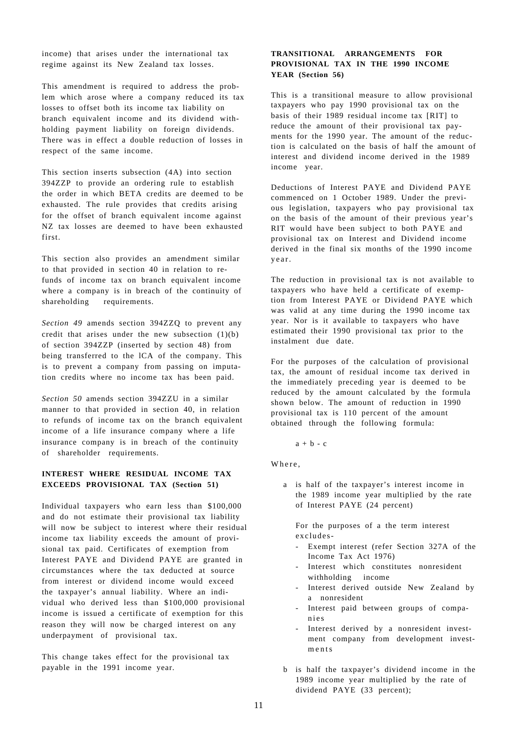income) that arises under the international tax regime against its New Zealand tax losses.

This amendment is required to address the problem which arose where a company reduced its tax losses to offset both its income tax liability on branch equivalent income and its dividend withholding payment liability on foreign dividends. There was in effect a double reduction of losses in respect of the same income.

This section inserts subsection (4A) into section 394ZZP to provide an ordering rule to establish the order in which BETA credits are deemed to be exhausted. The rule provides that credits arising for the offset of branch equivalent income against NZ tax losses are deemed to have been exhausted first.

This section also provides an amendment similar to that provided in section 40 in relation to refunds of income tax on branch equivalent income where a company is in breach of the continuity of shareholding requirements.

*Section 49* amends section 394ZZQ to prevent any credit that arises under the new subsection  $(1)(b)$ of section 394ZZP (inserted by section 48) from being transferred to the lCA of the company. This is to prevent a company from passing on imputation credits where no income tax has been paid.

*Section 50* amends section 394ZZU in a similar manner to that provided in section 40, in relation to refunds of income tax on the branch equivalent income of a life insurance company where a life insurance company is in breach of the continuity of shareholder requirements.

## **INTEREST WHERE RESIDUAL INCOME TAX EXCEEDS PROVISIONAL TAX (Section 51)**

Individual taxpayers who earn less than \$100,000 and do not estimate their provisional tax liability will now be subject to interest where their residual income tax liability exceeds the amount of provisional tax paid. Certificates of exemption from Interest PAYE and Dividend PAYE are granted in circumstances where the tax deducted at source from interest or dividend income would exceed the taxpayer's annual liability. Where an individual who derived less than \$100,000 provisional income is issued a certificate of exemption for this reason they will now be charged interest on any underpayment of provisional tax.

This change takes effect for the provisional tax payable in the 1991 income year.

## **TRANSITIONAL ARRANGEMENTS FOR PROVISIONAL TAX IN THE 1990 INCOME YEAR (Section 56)**

This is a transitional measure to allow provisional taxpayers who pay 1990 provisional tax on the basis of their 1989 residual income tax [RIT] to reduce the amount of their provisional tax payments for the 1990 year. The amount of the reduction is calculated on the basis of half the amount of interest and dividend income derived in the 1989 income year.

Deductions of Interest PAYE and Dividend PAYE commenced on 1 October 1989. Under the previous legislation, taxpayers who pay provisional tax on the basis of the amount of their previous year's RIT would have been subject to both PAYE and provisional tax on Interest and Dividend income derived in the final six months of the 1990 income year.

The reduction in provisional tax is not available to taxpayers who have held a certificate of exemption from Interest PAYE or Dividend PAYE which was valid at any time during the 1990 income tax year. Nor is it available to taxpayers who have estimated their 1990 provisional tax prior to the instalment due date.

For the purposes of the calculation of provisional tax, the amount of residual income tax derived in the immediately preceding year is deemed to be reduced by the amount calculated by the formula shown below. The amount of reduction in 1990 provisional tax is 110 percent of the amount obtained through the following formula:

 $a + b - c$ 

Where ,

a is half of the taxpayer's interest income in the 1989 income year multiplied by the rate of Interest PAYE (24 percent)

For the purposes of a the term interest excludes-

- Exempt interest (refer Section 327A of the Income Tax Act 1976)
- Interest which constitutes nonresident withholding income
- Interest derived outside New Zealand by a nonresident
- Interest paid between groups of companie s
- Interest derived by a nonresident investment company from development investments
- b is half the taxpayer's dividend income in the 1989 income year multiplied by the rate of dividend PAYE (33 percent);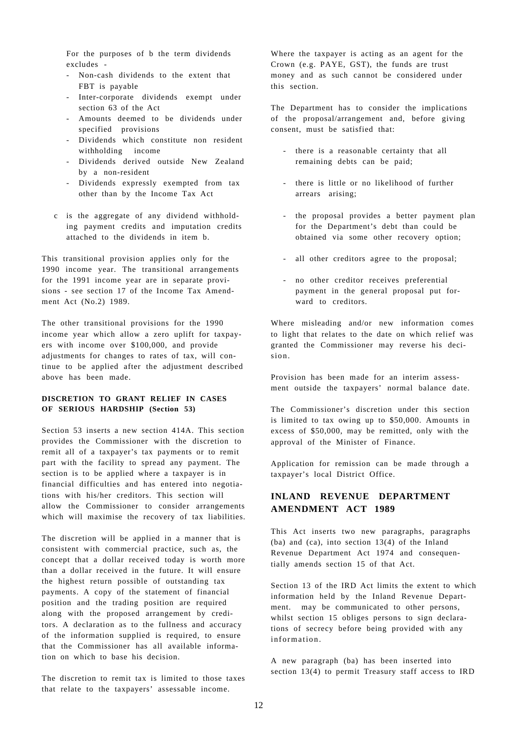For the purposes of b the term dividends excludes -

- Non-cash dividends to the extent that FBT is payable
- Inter-corporate dividends exempt under section 63 of the Act
- Amounts deemed to be dividends under specified provisions
- Dividends which constitute non resident withholding income
- Dividends derived outside New Zealand by a non-resident
- Dividends expressly exempted from tax other than by the Income Tax Act
- c is the aggregate of any dividend withholding payment credits and imputation credits attached to the dividends in item b.

This transitional provision applies only for the 1990 income year. The transitional arrangements for the 1991 income year are in separate provisions - see section 17 of the Income Tax Amendment Act (No.2) 1989.

The other transitional provisions for the 1990 income year which allow a zero uplift for taxpayers with income over \$100,000, and provide adjustments for changes to rates of tax, will continue to be applied after the adjustment described above has been made.

## **DISCRETION TO GRANT RELIEF IN CASES OF SERIOUS HARDSHIP (Section 53)**

Section 53 inserts a new section 414A. This section provides the Commissioner with the discretion to remit all of a taxpayer's tax payments or to remit part with the facility to spread any payment. The section is to be applied where a taxpayer is in financial difficulties and has entered into negotiations with his/her creditors. This section will allow the Commissioner to consider arrangements which will maximise the recovery of tax liabilities.

The discretion will be applied in a manner that is consistent with commercial practice, such as, the concept that a dollar received today is worth more than a dollar received in the future. It will ensure the highest return possible of outstanding tax payments. A copy of the statement of financial position and the trading position are required along with the proposed arrangement by creditors. A declaration as to the fullness and accuracy of the information supplied is required, to ensure that the Commissioner has all available information on which to base his decision.

The discretion to remit tax is limited to those taxes that relate to the taxpayers' assessable income.

Where the taxpayer is acting as an agent for the Crown (e.g. PAYE, GST), the funds are trust money and as such cannot be considered under this section.

The Department has to consider the implications of the proposal/arrangement and, before giving consent, must be satisfied that:

- there is a reasonable certainty that all remaining debts can be paid;
- there is little or no likelihood of further arrears arising;
- the proposal provides a better payment plan for the Department's debt than could be obtained via some other recovery option;
- all other creditors agree to the proposal;
- no other creditor receives preferential payment in the general proposal put forward to creditors.

Where misleading and/or new information comes to light that relates to the date on which relief was granted the Commissioner may reverse his decision.

Provision has been made for an interim assessment outside the taxpayers' normal balance date.

The Commissioner's discretion under this section is limited to tax owing up to \$50,000. Amounts in excess of \$50,000, may be remitted, only with the approval of the Minister of Finance.

Application for remission can be made through a taxpayer's local District Office.

# **INLAND REVENUE DEPARTMENT AMENDMENT ACT 1989**

This Act inserts two new paragraphs, paragraphs (ba) and (ca), into section 13(4) of the Inland Revenue Department Act 1974 and consequentially amends section 15 of that Act.

Section 13 of the IRD Act limits the extent to which information held by the Inland Revenue Department. may be communicated to other persons, whilst section 15 obliges persons to sign declarations of secrecy before being provided with any information.

A new paragraph (ba) has been inserted into section 13(4) to permit Treasury staff access to IRD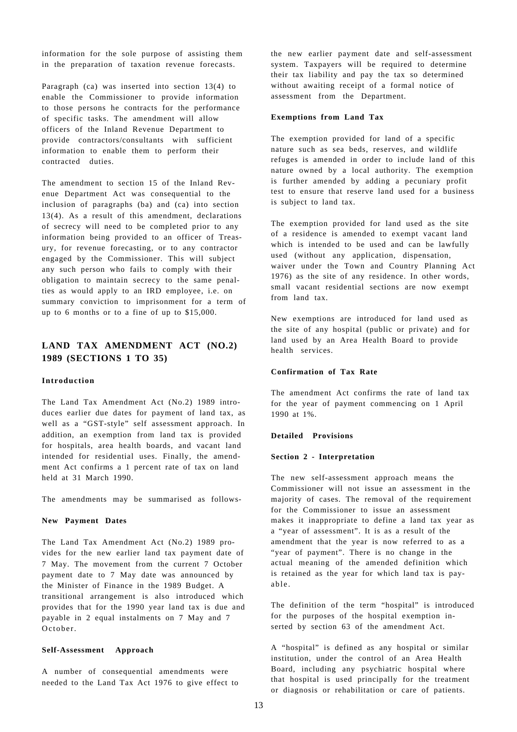information for the sole purpose of assisting them in the preparation of taxation revenue forecasts.

Paragraph (ca) was inserted into section 13(4) to enable the Commissioner to provide information to those persons he contracts for the performance of specific tasks. The amendment will allow officers of the Inland Revenue Department to provide contractors/consultants with sufficient information to enable them to perform their contracted duties.

The amendment to section 15 of the Inland Revenue Department Act was consequential to the inclusion of paragraphs (ba) and (ca) into section 13(4). As a result of this amendment, declarations of secrecy will need to be completed prior to any information being provided to an officer of Treasury, for revenue forecasting, or to any contractor engaged by the Commissioner. This will subject any such person who fails to comply with their obligation to maintain secrecy to the same penalties as would apply to an IRD employee, i.e. on summary conviction to imprisonment for a term of up to 6 months or to a fine of up to \$15,000.

# **LAND TAX AMENDMENT ACT (NO.2) 1989 (SECTIONS 1 TO 35)**

#### **Introduction**

The Land Tax Amendment Act (No.2) 1989 introduces earlier due dates for payment of land tax, as well as a "GST-style" self assessment approach. In addition, an exemption from land tax is provided for hospitals, area health boards, and vacant land intended for residential uses. Finally, the amendment Act confirms a 1 percent rate of tax on land held at 31 March 1990.

The amendments may be summarised as follows-

#### **New Payment Dates**

The Land Tax Amendment Act (No.2) 1989 provides for the new earlier land tax payment date of 7 May. The movement from the current 7 October payment date to 7 May date was announced by the Minister of Finance in the 1989 Budget. A transitional arrangement is also introduced which provides that for the 1990 year land tax is due and payable in 2 equal instalments on 7 May and 7 October.

#### **Self-Assessment Approach**

A number of consequential amendments were needed to the Land Tax Act 1976 to give effect to the new earlier payment date and self-assessment system. Taxpayers will be required to determine their tax liability and pay the tax so determined without awaiting receipt of a formal notice of assessment from the Department.

#### **Exemptions from Land Tax**

The exemption provided for land of a specific nature such as sea beds, reserves, and wildlife refuges is amended in order to include land of this nature owned by a local authority. The exemption is further amended by adding a pecuniary profit test to ensure that reserve land used for a business is subject to land tax.

The exemption provided for land used as the site of a residence is amended to exempt vacant land which is intended to be used and can be lawfully used (without any application, dispensation, waiver under the Town and Country Planning Act 1976) as the site of any residence. In other words, small vacant residential sections are now exempt from land tax.

New exemptions are introduced for land used as the site of any hospital (public or private) and for land used by an Area Health Board to provide health services.

#### **Confirmation of Tax Rate**

The amendment Act confirms the rate of land tax for the year of payment commencing on 1 April 1990 at 1%.

#### **Detailed Provisions**

#### **Section 2 - Interpretation**

The new self-assessment approach means the Commissioner will not issue an assessment in the majority of cases. The removal of the requirement for the Commissioner to issue an assessment makes it inappropriate to define a land tax year as a "year of assessment". It is as a result of the amendment that the year is now referred to as a "year of payment". There is no change in the actual meaning of the amended definition which is retained as the year for which land tax is payable.

The definition of the term "hospital" is introduced for the purposes of the hospital exemption inserted by section 63 of the amendment Act.

A "hospital" is defined as any hospital or similar institution, under the control of an Area Health Board, including any psychiatric hospital where that hospital is used principally for the treatment or diagnosis or rehabilitation or care of patients.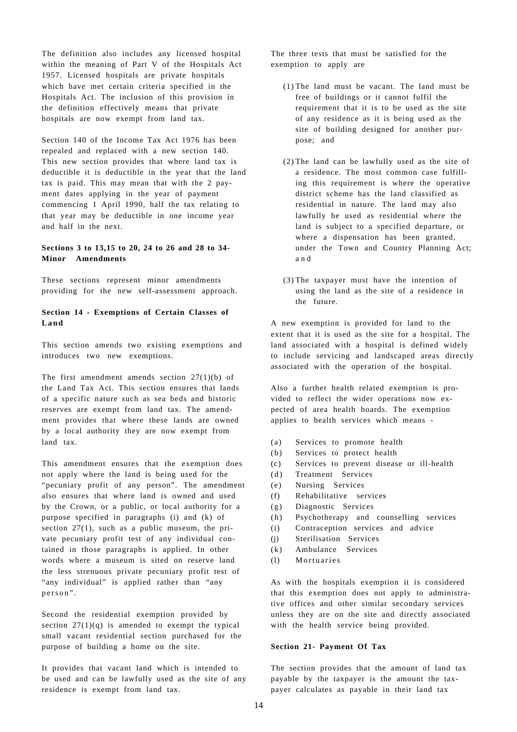The definition also includes any licensed hospital within the meaning of Part V of the Hospitals Act 1957. Licensed hospitals are private hospitals which have met certain criteria specified in the Hospitals Act. The inclusion of this provision in the definition effectively means that private hospitals are now exempt from land tax.

Section 140 of the Income Tax Act 1976 has been repealed and replaced with a new section 140. This new section provides that where land tax is deductible it is deductible in the year that the land tax is paid. This may mean that with the 2 payment dates applying in the year of payment commencing 1 April 1990, half the tax relating to that year may be deductible in one income year and half in the next.

## **Sections 3 to 13,15 to 20, 24 to 26 and 28 to 34- Minor Amendments**

These sections represent minor amendments providing for the new self-assessment approach.

#### **Section 14 - Exemptions of Certain Classes of Land**

This section amends two existing exemptions and introduces two new exemptions.

The first amendment amends section 27(1)(b) of the Land Tax Act. This section ensures that lands of a specific nature such as sea beds and historic reserves are exempt from land tax. The amendment provides that where these lands are owned by a local authority they are now exempt from land tax.

This amendment ensures that the exemption does not apply where the land is being used for the "pecuniary profit of any person". The amendment also ensures that where land is owned and used by the Crown, or a public, or local authority for a purpose specified in paragraphs (i) and (k) of section  $27(1)$ , such as a public museum, the private pecuniary profit test of any individual contained in those paragraphs is applied. In other words where a museum is sited on reserve land the less strenuous private pecuniary profit test of "any individual" is applied rather than "any person" .

Second the residential exemption provided by section  $27(1)(q)$  is amended to exempt the typical small vacant residential section purchased for the purpose of building a home on the site.

It provides that vacant land which is intended to be used and can be lawfully used as the site of any residence is exempt from land tax.

The three tests that must be satisfied for the exemption to apply are

- (1) The land must be vacant. The land must be free of buildings or it cannot fulfil the requirement that it is to be used as the site of any residence as it is being used as the site of building designed for another purpose; and
- (2) The land can be lawfully used as the site of a residence. The most common case fulfilling this requirement is where the operative district scheme has the land classified as residential in nature. The land may also lawfully be used as residential where the land is subject to a specified departure, or where a dispensation has been granted, under the Town and Country Planning Act; a n d
- (3) The taxpayer must have the intention of using the land as the site of a residence in the future.

A new exemption is provided for land to the extent that it is used as the site for a hospital. The land associated with a hospital is defined widely to include servicing and landscaped areas directly associated with the operation of the hospital.

Also a further health related exemption is provided to reflect the wider operations now expected of area health boards. The exemption applies to health services which means -

- (a) Services to promote health
- (b) Services to protect health
- (c) Services to prevent disease or ill-health
- (d) Treatment Services
- (e) Nursing Services
- (f) Rehabilitative services
- (g) Diagnostic Services
- (h) Psychotherapy and counselling services
- (i) Contraception services and advice
- (j) Sterilisation Services
- (k) Ambulance Services
- (1) Mortuaries

As with the hospitals exemption it is considered that this exemption does not apply to administrative offices and other similar secondary services unless they are on the site and directly associated with the health service being provided.

#### **Section 21- Payment Of Tax**

The section provides that the amount of land tax payable by the taxpayer is the amount the taxpayer calculates as payable in their land tax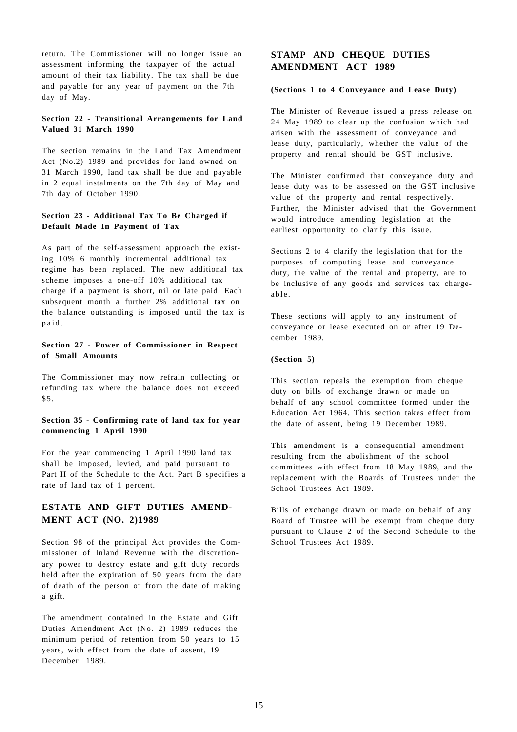return. The Commissioner will no longer issue an assessment informing the taxpayer of the actual amount of their tax liability. The tax shall be due and payable for any year of payment on the 7th day of May.

## **Section 22 - Transitional Arrangements for Land Valued 31 March 1990**

The section remains in the Land Tax Amendment Act (No.2) 1989 and provides for land owned on 31 March 1990, land tax shall be due and payable in 2 equal instalments on the 7th day of May and 7th day of October 1990.

## **Section 23 - Additional Tax To Be Charged if Default Made In Payment of Tax**

As part of the self-assessment approach the existing 10% 6 monthly incremental additional tax regime has been replaced. The new additional tax scheme imposes a one-off 10% additional tax charge if a payment is short, nil or late paid. Each subsequent month a further 2% additional tax on the balance outstanding is imposed until the tax is paid .

## **Section 27 - Power of Commissioner in Respect of Small Amounts**

The Commissioner may now refrain collecting or refunding tax where the balance does not exceed  $$5.$ 

#### **Section 35 - Confirming rate of land tax for year commencing 1 April 1990**

For the year commencing 1 April 1990 land tax shall be imposed, levied, and paid pursuant to Part II of the Schedule to the Act. Part B specifies a rate of land tax of 1 percent.

# **ESTATE AND GIFT DUTIES AMEND-MENT ACT (NO. 2)1989**

Section 98 of the principal Act provides the Commissioner of Inland Revenue with the discretionary power to destroy estate and gift duty records held after the expiration of 50 years from the date of death of the person or from the date of making a gift.

The amendment contained in the Estate and Gift Duties Amendment Act (No. 2) 1989 reduces the minimum period of retention from 50 years to 15 years, with effect from the date of assent, 19 December 1989.

# **STAMP AND CHEQUE DUTIES AMENDMENT ACT 1989**

#### **(Sections 1 to 4 Conveyance and Lease Duty)**

The Minister of Revenue issued a press release on 24 May 1989 to clear up the confusion which had arisen with the assessment of conveyance and lease duty, particularly, whether the value of the property and rental should be GST inclusive.

The Minister confirmed that conveyance duty and lease duty was to be assessed on the GST inclusive value of the property and rental respectively. Further, the Minister advised that the Government would introduce amending legislation at the earliest opportunity to clarify this issue.

Sections 2 to 4 clarify the legislation that for the purposes of computing lease and conveyance duty, the value of the rental and property, are to be inclusive of any goods and services tax chargeable.

These sections will apply to any instrument of conveyance or lease executed on or after 19 December 1989.

#### **(Section 5)**

This section repeals the exemption from cheque duty on bills of exchange drawn or made on behalf of any school committee formed under the Education Act 1964. This section takes effect from the date of assent, being 19 December 1989.

This amendment is a consequential amendment resulting from the abolishment of the school committees with effect from 18 May 1989, and the replacement with the Boards of Trustees under the School Trustees Act 1989.

Bills of exchange drawn or made on behalf of any Board of Trustee will be exempt from cheque duty pursuant to Clause 2 of the Second Schedule to the School Trustees Act 1989.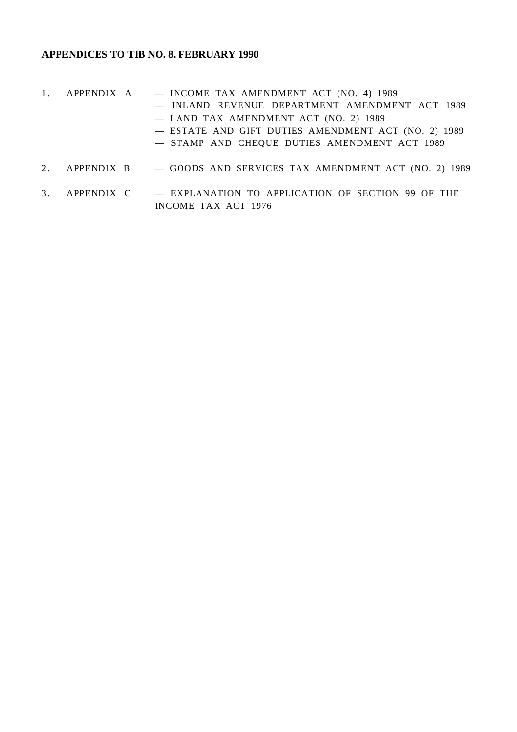# **APPENDICES TO TIB NO. 8. FEBRUARY 1990**

- 1. APPENDIX A INCOME TAX AMENDMENT ACT (NO. 4) 1989 — INLAND REVENUE DEPARTMENT AMENDMENT ACT 1989 — LAND TAX AMENDMENT ACT (NO. 2) 1989 — ESTATE AND GIFT DUTIES AMENDMENT ACT (NO. 2) 1989 — STAMP AND CHEQUE DUTIES AMENDMENT ACT 1989
- 2. APPENDIX B  $-$  GOODS AND SERVICES TAX AMENDMENT ACT (NO. 2) 1989
- 3. APPENDIX C EXPLANATION TO APPLICATION OF SECTION 99 OF THE INCOME TAX ACT 1976